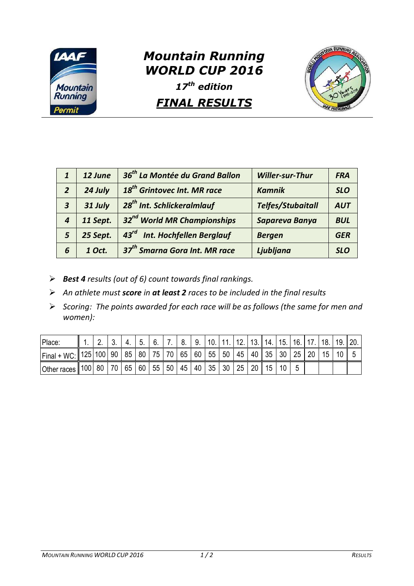

## *Mountain Running WORLD CUP 2016*

*17th edition* 

## *FINAL RESULTS*



| $\mathbf{1}$     | 12 June  | 36 <sup>th</sup> La Montée du Grand Ballon | <b>Willer-sur-Thur</b>   | <b>FRA</b> |
|------------------|----------|--------------------------------------------|--------------------------|------------|
| $\overline{2}$   | 24 July  | 18 <sup>th</sup> Grintovec Int. MR race    | <b>Kamnik</b>            | <b>SLO</b> |
| $\boldsymbol{3}$ | 31 July  | 28 <sup>th</sup> Int. Schlickeralmlauf     | <b>Telfes/Stubaitall</b> | <b>AUT</b> |
| $\overline{4}$   | 11 Sept. | 32 <sup>nd</sup> World MR Championships    | Sapareva Banya           | <b>BUL</b> |
| 5                | 25 Sept. | 43rd Int. Hochfellen Berglauf              | <b>Bergen</b>            | <b>GER</b> |
| 6                | 1 Oct.   | 37 <sup>th</sup> Smarna Gora Int. MR race  | Ljubljana                | <b>SLO</b> |

- *Best 4 results (out of 6) count towards final rankings.*
- *An athlete must score in at least 2 races to be included in the final results*
- *Scoring: The points awarded for each race will be as follows (the same for men and women):*

| Place:                 |     |    |    | 4. | 5. | -6. |       | -8. | 9.                               | 10.11 | 12. | 13.   | 14. | 15. | 16. |                 | 118. | 19. |  |
|------------------------|-----|----|----|----|----|-----|-------|-----|----------------------------------|-------|-----|-------|-----|-----|-----|-----------------|------|-----|--|
| Final + WC: 125 100 90 |     |    |    | 85 | 80 |     |       |     | 75   70   65   60   55   50   45 |       |     | 40 35 |     | 30  | 25  | $\overline{20}$ | 15   |     |  |
| Other races            | 100 | 80 | 70 | 65 | 60 |     | 55 50 | 45  | 40 35 30                         |       | 25  | 20    | 15  |     |     |                 |      |     |  |